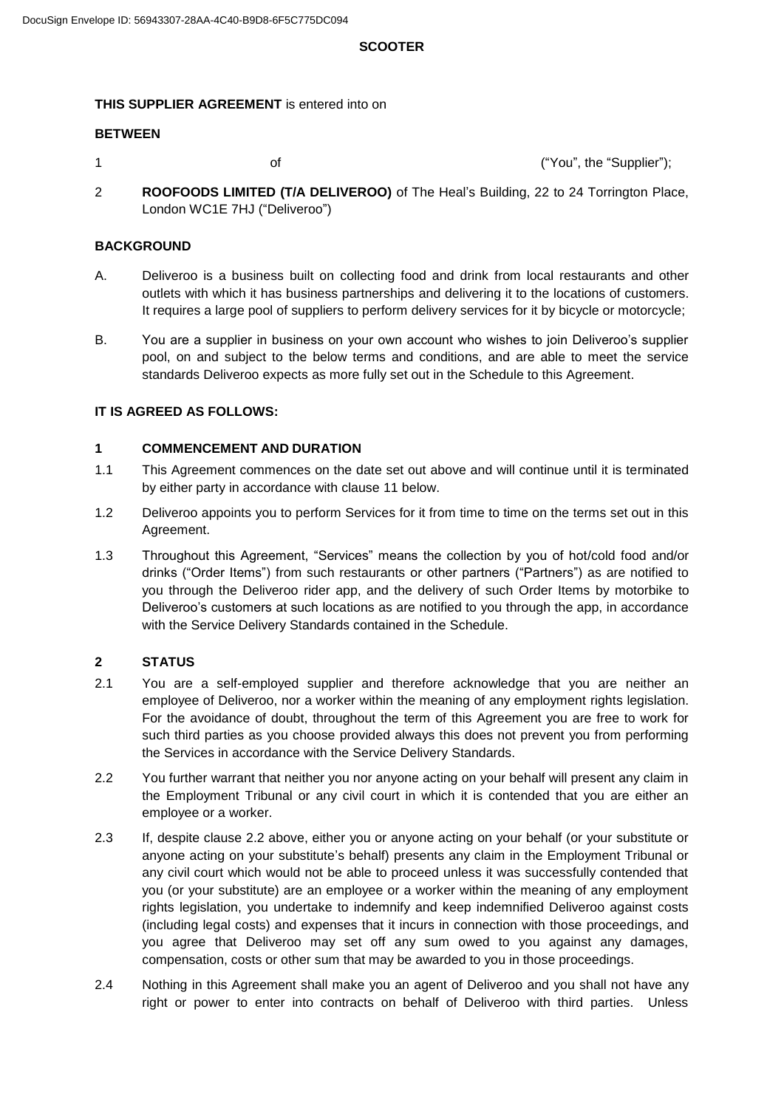# **SCOOTER**

# **THIS SUPPLIER AGREEMENT** is entered into on

# **BETWEEN**

1 **1 of of of of of of**  *of of <b>s of <i>of <b>s of <b>s of <i>s of s of s of <i>s of s of <i>s of s of s of s of s of*

2 **ROOFOODS LIMITED (T/A DELIVEROO)** of The Heal's Building, 22 to 24 Torrington Place, London WC1E 7HJ ("Deliveroo")

## **BACKGROUND**

- A. Deliveroo is a business built on collecting food and drink from local restaurants and other outlets with which it has business partnerships and delivering it to the locations of customers. It requires a large pool of suppliers to perform delivery services for it by bicycle or motorcycle;
- B. You are a supplier in business on your own account who wishes to join Deliveroo's supplier pool, on and subject to the below terms and conditions, and are able to meet the service standards Deliveroo expects as more fully set out in the Schedule to this Agreement.

## **IT IS AGREED AS FOLLOWS:**

## **1 COMMENCEMENT AND DURATION**

- 1.1 This Agreement commences on the date set out above and will continue until it is terminated by either party in accordance with clause 11 below.
- 1.2 Deliveroo appoints you to perform Services for it from time to time on the terms set out in this Agreement.
- 1.3 Throughout this Agreement, "Services" means the collection by you of hot/cold food and/or drinks ("Order Items") from such restaurants or other partners ("Partners") as are notified to you through the Deliveroo rider app, and the delivery of such Order Items by motorbike to Deliveroo's customers at such locations as are notified to you through the app, in accordance with the Service Delivery Standards contained in the Schedule.

## **2 STATUS**

- 2.1 You are a self-employed supplier and therefore acknowledge that you are neither an employee of Deliveroo, nor a worker within the meaning of any employment rights legislation. For the avoidance of doubt, throughout the term of this Agreement you are free to work for such third parties as you choose provided always this does not prevent you from performing the Services in accordance with the Service Delivery Standards.
- 2.2 You further warrant that neither you nor anyone acting on your behalf will present any claim in the Employment Tribunal or any civil court in which it is contended that you are either an employee or a worker.
- 2.3 If, despite clause 2.2 above, either you or anyone acting on your behalf (or your substitute or anyone acting on your substitute's behalf) presents any claim in the Employment Tribunal or any civil court which would not be able to proceed unless it was successfully contended that you (or your substitute) are an employee or a worker within the meaning of any employment rights legislation, you undertake to indemnify and keep indemnified Deliveroo against costs (including legal costs) and expenses that it incurs in connection with those proceedings, and you agree that Deliveroo may set off any sum owed to you against any damages, compensation, costs or other sum that may be awarded to you in those proceedings.
- 2.4 Nothing in this Agreement shall make you an agent of Deliveroo and you shall not have any right or power to enter into contracts on behalf of Deliveroo with third parties. Unless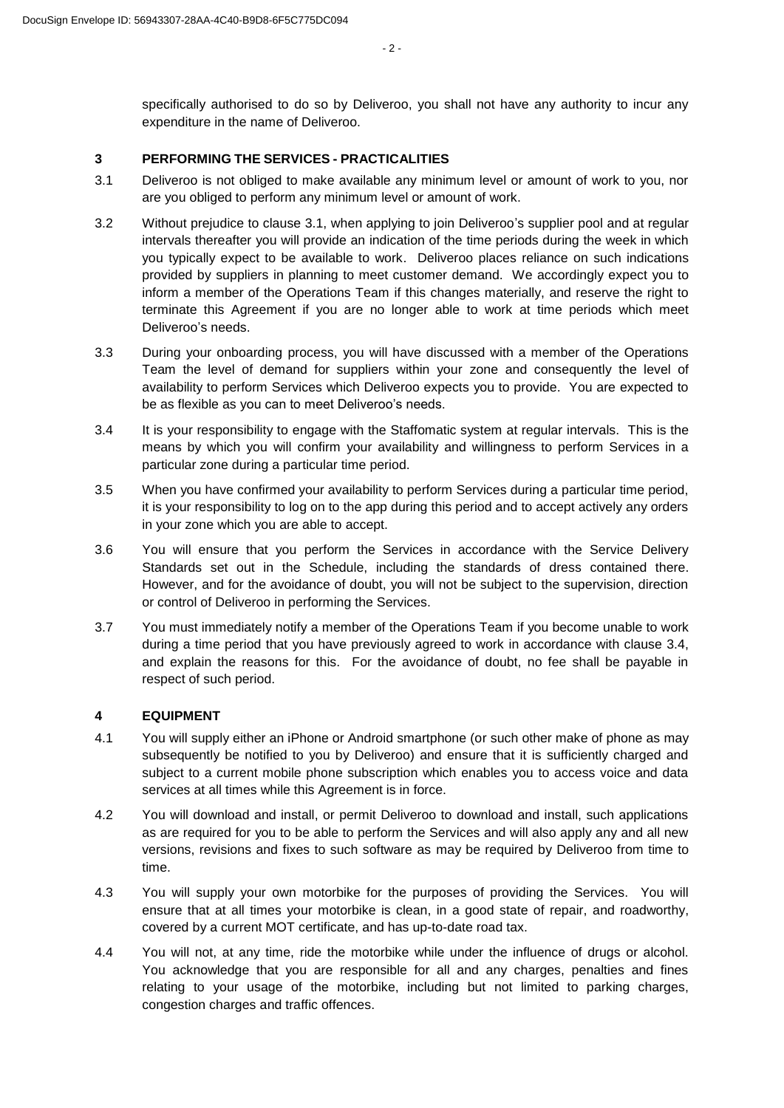$-2 -$ 

specifically authorised to do so by Deliveroo, you shall not have any authority to incur any expenditure in the name of Deliveroo.

### **3 PERFORMING THE SERVICES - PRACTICALITIES**

- 3.1 Deliveroo is not obliged to make available any minimum level or amount of work to you, nor are you obliged to perform any minimum level or amount of work.
- 3.2 Without prejudice to clause 3.1, when applying to join Deliveroo's supplier pool and at regular intervals thereafter you will provide an indication of the time periods during the week in which you typically expect to be available to work. Deliveroo places reliance on such indications provided by suppliers in planning to meet customer demand. We accordingly expect you to inform a member of the Operations Team if this changes materially, and reserve the right to terminate this Agreement if you are no longer able to work at time periods which meet Deliveroo's needs.
- 3.3 During your onboarding process, you will have discussed with a member of the Operations Team the level of demand for suppliers within your zone and consequently the level of availability to perform Services which Deliveroo expects you to provide. You are expected to be as flexible as you can to meet Deliveroo's needs.
- 3.4 It is your responsibility to engage with the Staffomatic system at regular intervals. This is the means by which you will confirm your availability and willingness to perform Services in a particular zone during a particular time period.
- 3.5 When you have confirmed your availability to perform Services during a particular time period, it is your responsibility to log on to the app during this period and to accept actively any orders in your zone which you are able to accept.
- 3.6 You will ensure that you perform the Services in accordance with the Service Delivery Standards set out in the Schedule, including the standards of dress contained there. However, and for the avoidance of doubt, you will not be subject to the supervision, direction or control of Deliveroo in performing the Services.
- 3.7 You must immediately notify a member of the Operations Team if you become unable to work during a time period that you have previously agreed to work in accordance with clause 3.4, and explain the reasons for this. For the avoidance of doubt, no fee shall be payable in respect of such period.

## **4 EQUIPMENT**

- 4.1 You will supply either an iPhone or Android smartphone (or such other make of phone as may subsequently be notified to you by Deliveroo) and ensure that it is sufficiently charged and subject to a current mobile phone subscription which enables you to access voice and data services at all times while this Agreement is in force.
- 4.2 You will download and install, or permit Deliveroo to download and install, such applications as are required for you to be able to perform the Services and will also apply any and all new versions, revisions and fixes to such software as may be required by Deliveroo from time to time.
- 4.3 You will supply your own motorbike for the purposes of providing the Services. You will ensure that at all times your motorbike is clean, in a good state of repair, and roadworthy, covered by a current MOT certificate, and has up-to-date road tax.
- 4.4 You will not, at any time, ride the motorbike while under the influence of drugs or alcohol. You acknowledge that you are responsible for all and any charges, penalties and fines relating to your usage of the motorbike, including but not limited to parking charges, congestion charges and traffic offences.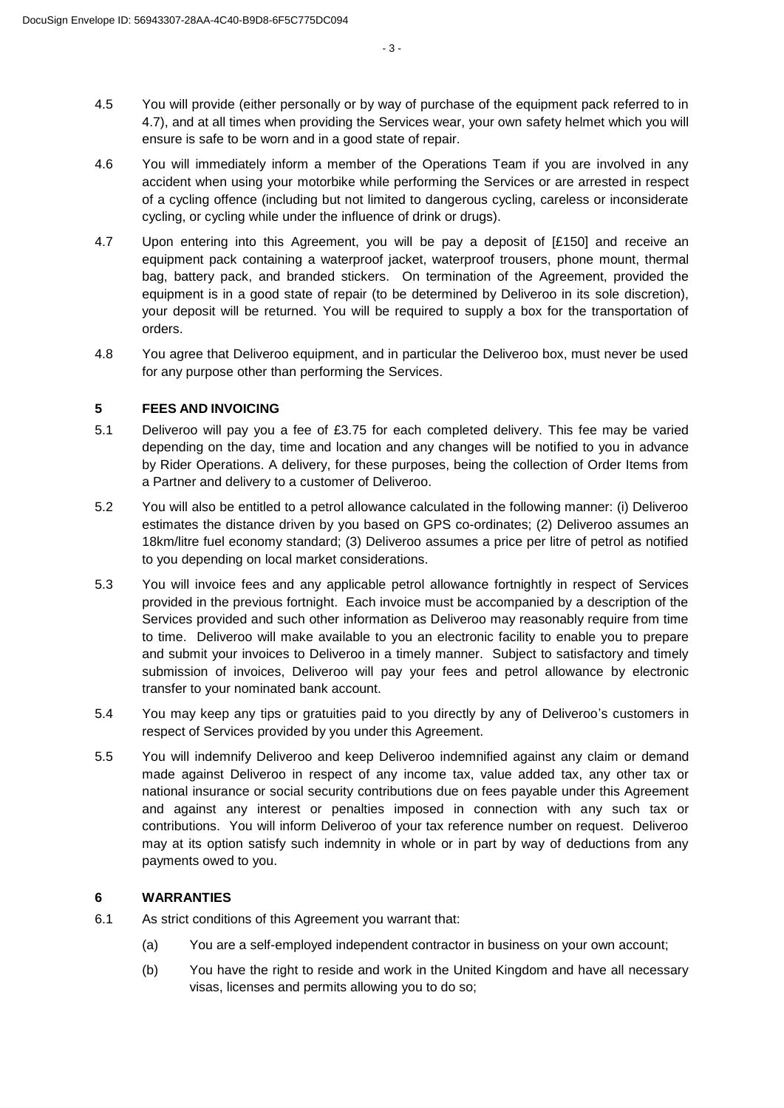- 4.5 You will provide (either personally or by way of purchase of the equipment pack referred to in 4.7), and at all times when providing the Services wear, your own safety helmet which you will ensure is safe to be worn and in a good state of repair.
- 4.6 You will immediately inform a member of the Operations Team if you are involved in any accident when using your motorbike while performing the Services or are arrested in respect of a cycling offence (including but not limited to dangerous cycling, careless or inconsiderate cycling, or cycling while under the influence of drink or drugs).
- 4.7 Upon entering into this Agreement, you will be pay a deposit of [£150] and receive an equipment pack containing a waterproof jacket, waterproof trousers, phone mount, thermal bag, battery pack, and branded stickers. On termination of the Agreement, provided the equipment is in a good state of repair (to be determined by Deliveroo in its sole discretion), your deposit will be returned. You will be required to supply a box for the transportation of orders.
- 4.8 You agree that Deliveroo equipment, and in particular the Deliveroo box, must never be used for any purpose other than performing the Services.

#### **5 FEES AND INVOICING**

- 5.1 Deliveroo will pay you a fee of £3.75 for each completed delivery. This fee may be varied depending on the day, time and location and any changes will be notified to you in advance by Rider Operations. A delivery, for these purposes, being the collection of Order Items from a Partner and delivery to a customer of Deliveroo.
- 5.2 You will also be entitled to a petrol allowance calculated in the following manner: (i) Deliveroo estimates the distance driven by you based on GPS co-ordinates; (2) Deliveroo assumes an 18km/litre fuel economy standard; (3) Deliveroo assumes a price per litre of petrol as notified to you depending on local market considerations.
- 5.3 You will invoice fees and any applicable petrol allowance fortnightly in respect of Services provided in the previous fortnight. Each invoice must be accompanied by a description of the Services provided and such other information as Deliveroo may reasonably require from time to time. Deliveroo will make available to you an electronic facility to enable you to prepare and submit your invoices to Deliveroo in a timely manner. Subject to satisfactory and timely submission of invoices, Deliveroo will pay your fees and petrol allowance by electronic transfer to your nominated bank account.
- 5.4 You may keep any tips or gratuities paid to you directly by any of Deliveroo's customers in respect of Services provided by you under this Agreement.
- 5.5 You will indemnify Deliveroo and keep Deliveroo indemnified against any claim or demand made against Deliveroo in respect of any income tax, value added tax, any other tax or national insurance or social security contributions due on fees payable under this Agreement and against any interest or penalties imposed in connection with any such tax or contributions. You will inform Deliveroo of your tax reference number on request. Deliveroo may at its option satisfy such indemnity in whole or in part by way of deductions from any payments owed to you.

## **6 WARRANTIES**

- 6.1 As strict conditions of this Agreement you warrant that:
	- (a) You are a self-employed independent contractor in business on your own account;
	- (b) You have the right to reside and work in the United Kingdom and have all necessary visas, licenses and permits allowing you to do so;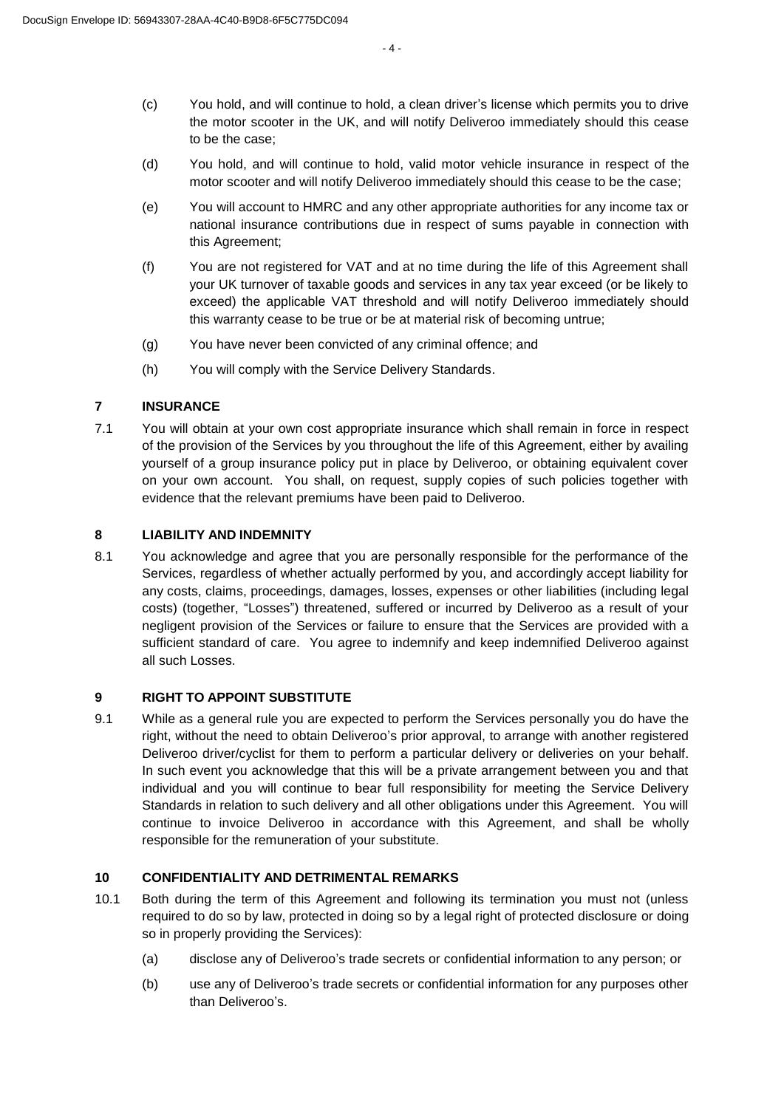- (c) You hold, and will continue to hold, a clean driver's license which permits you to drive the motor scooter in the UK, and will notify Deliveroo immediately should this cease to be the case;
- (d) You hold, and will continue to hold, valid motor vehicle insurance in respect of the motor scooter and will notify Deliveroo immediately should this cease to be the case;
- (e) You will account to HMRC and any other appropriate authorities for any income tax or national insurance contributions due in respect of sums payable in connection with this Agreement;
- (f) You are not registered for VAT and at no time during the life of this Agreement shall your UK turnover of taxable goods and services in any tax year exceed (or be likely to exceed) the applicable VAT threshold and will notify Deliveroo immediately should this warranty cease to be true or be at material risk of becoming untrue;
- (g) You have never been convicted of any criminal offence; and
- (h) You will comply with the Service Delivery Standards.

#### **7 INSURANCE**

7.1 You will obtain at your own cost appropriate insurance which shall remain in force in respect of the provision of the Services by you throughout the life of this Agreement, either by availing yourself of a group insurance policy put in place by Deliveroo, or obtaining equivalent cover on your own account. You shall, on request, supply copies of such policies together with evidence that the relevant premiums have been paid to Deliveroo.

#### **8 LIABILITY AND INDEMNITY**

8.1 You acknowledge and agree that you are personally responsible for the performance of the Services, regardless of whether actually performed by you, and accordingly accept liability for any costs, claims, proceedings, damages, losses, expenses or other liabilities (including legal costs) (together, "Losses") threatened, suffered or incurred by Deliveroo as a result of your negligent provision of the Services or failure to ensure that the Services are provided with a sufficient standard of care. You agree to indemnify and keep indemnified Deliveroo against all such Losses.

#### **9 RIGHT TO APPOINT SUBSTITUTE**

9.1 While as a general rule you are expected to perform the Services personally you do have the right, without the need to obtain Deliveroo's prior approval, to arrange with another registered Deliveroo driver/cyclist for them to perform a particular delivery or deliveries on your behalf. In such event you acknowledge that this will be a private arrangement between you and that individual and you will continue to bear full responsibility for meeting the Service Delivery Standards in relation to such delivery and all other obligations under this Agreement. You will continue to invoice Deliveroo in accordance with this Agreement, and shall be wholly responsible for the remuneration of your substitute.

### **10 CONFIDENTIALITY AND DETRIMENTAL REMARKS**

- 10.1 Both during the term of this Agreement and following its termination you must not (unless required to do so by law, protected in doing so by a legal right of protected disclosure or doing so in properly providing the Services):
	- (a) disclose any of Deliveroo's trade secrets or confidential information to any person; or
	- (b) use any of Deliveroo's trade secrets or confidential information for any purposes other than Deliveroo's.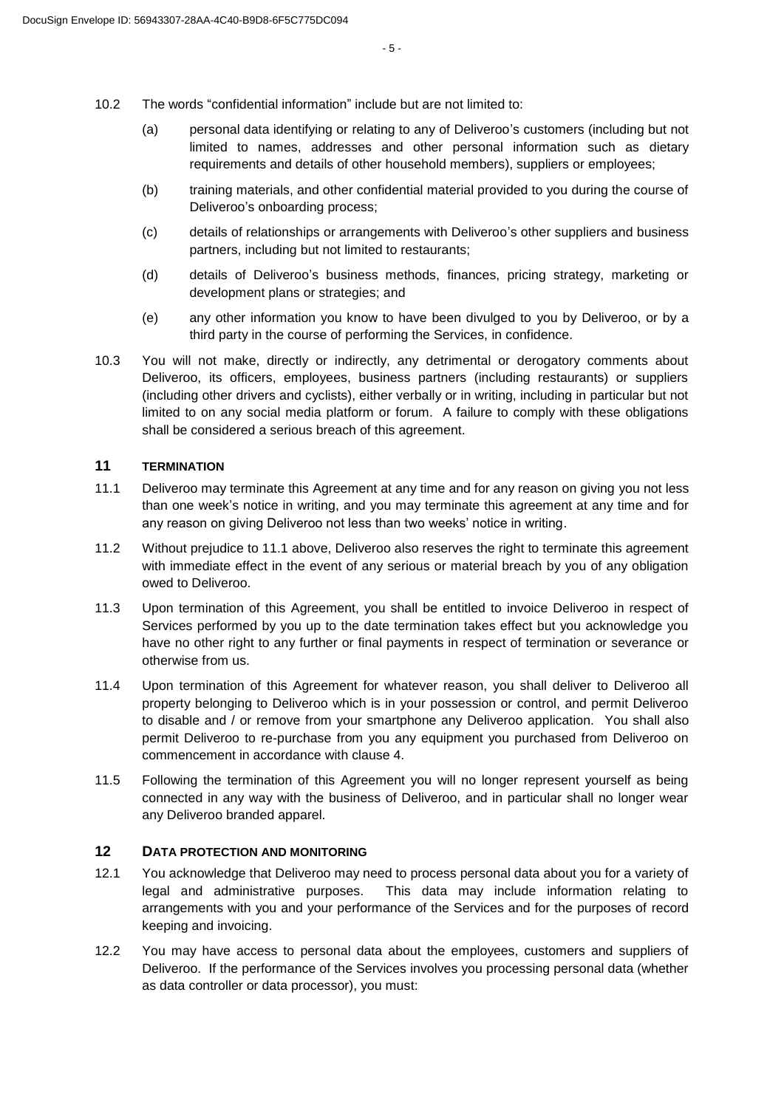- 10.2 The words "confidential information" include but are not limited to:
	- (a) personal data identifying or relating to any of Deliveroo's customers (including but not limited to names, addresses and other personal information such as dietary requirements and details of other household members), suppliers or employees;
	- (b) training materials, and other confidential material provided to you during the course of Deliveroo's onboarding process;
	- (c) details of relationships or arrangements with Deliveroo's other suppliers and business partners, including but not limited to restaurants;
	- (d) details of Deliveroo's business methods, finances, pricing strategy, marketing or development plans or strategies; and
	- (e) any other information you know to have been divulged to you by Deliveroo, or by a third party in the course of performing the Services, in confidence.
- 10.3 You will not make, directly or indirectly, any detrimental or derogatory comments about Deliveroo, its officers, employees, business partners (including restaurants) or suppliers (including other drivers and cyclists), either verbally or in writing, including in particular but not limited to on any social media platform or forum. A failure to comply with these obligations shall be considered a serious breach of this agreement.

#### **11 TERMINATION**

- 11.1 Deliveroo may terminate this Agreement at any time and for any reason on giving you not less than one week's notice in writing, and you may terminate this agreement at any time and for any reason on giving Deliveroo not less than two weeks' notice in writing.
- 11.2 Without prejudice to 11.1 above, Deliveroo also reserves the right to terminate this agreement with immediate effect in the event of any serious or material breach by you of any obligation owed to Deliveroo.
- 11.3 Upon termination of this Agreement, you shall be entitled to invoice Deliveroo in respect of Services performed by you up to the date termination takes effect but you acknowledge you have no other right to any further or final payments in respect of termination or severance or otherwise from us.
- 11.4 Upon termination of this Agreement for whatever reason, you shall deliver to Deliveroo all property belonging to Deliveroo which is in your possession or control, and permit Deliveroo to disable and / or remove from your smartphone any Deliveroo application. You shall also permit Deliveroo to re-purchase from you any equipment you purchased from Deliveroo on commencement in accordance with clause 4.
- 11.5 Following the termination of this Agreement you will no longer represent yourself as being connected in any way with the business of Deliveroo, and in particular shall no longer wear any Deliveroo branded apparel.

## **12 DATA PROTECTION AND MONITORING**

- 12.1 You acknowledge that Deliveroo may need to process personal data about you for a variety of legal and administrative purposes. This data may include information relating to arrangements with you and your performance of the Services and for the purposes of record keeping and invoicing.
- 12.2 You may have access to personal data about the employees, customers and suppliers of Deliveroo. If the performance of the Services involves you processing personal data (whether as data controller or data processor), you must: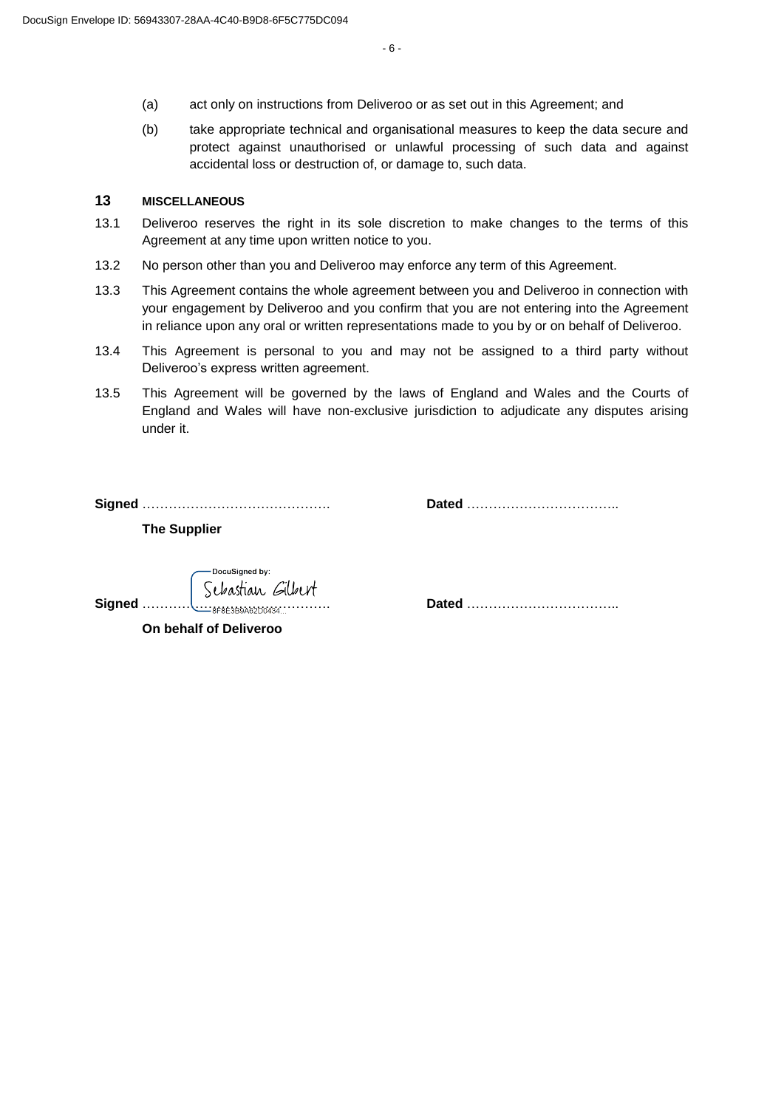- (a) act only on instructions from Deliveroo or as set out in this Agreement; and
- (b) take appropriate technical and organisational measures to keep the data secure and protect against unauthorised or unlawful processing of such data and against accidental loss or destruction of, or damage to, such data.

### **13 MISCELLANEOUS**

- 13.1 Deliveroo reserves the right in its sole discretion to make changes to the terms of this Agreement at any time upon written notice to you.
- 13.2 No person other than you and Deliveroo may enforce any term of this Agreement.
- 13.3 This Agreement contains the whole agreement between you and Deliveroo in connection with your engagement by Deliveroo and you confirm that you are not entering into the Agreement in reliance upon any oral or written representations made to you by or on behalf of Deliveroo.
- 13.4 This Agreement is personal to you and may not be assigned to a third party without Deliveroo's express written agreement.
- 13.5 This Agreement will be governed by the laws of England and Wales and the Courts of England and Wales will have non-exclusive jurisdiction to adjudicate any disputes arising under it.

**Signed** ……………………………………. **Dated** ……………………………..

**The Supplier**

DocuSianed by: Schastian Gilbert

**Signed** ……………………………………. **Dated** ……………………………..

**On behalf of Deliveroo**